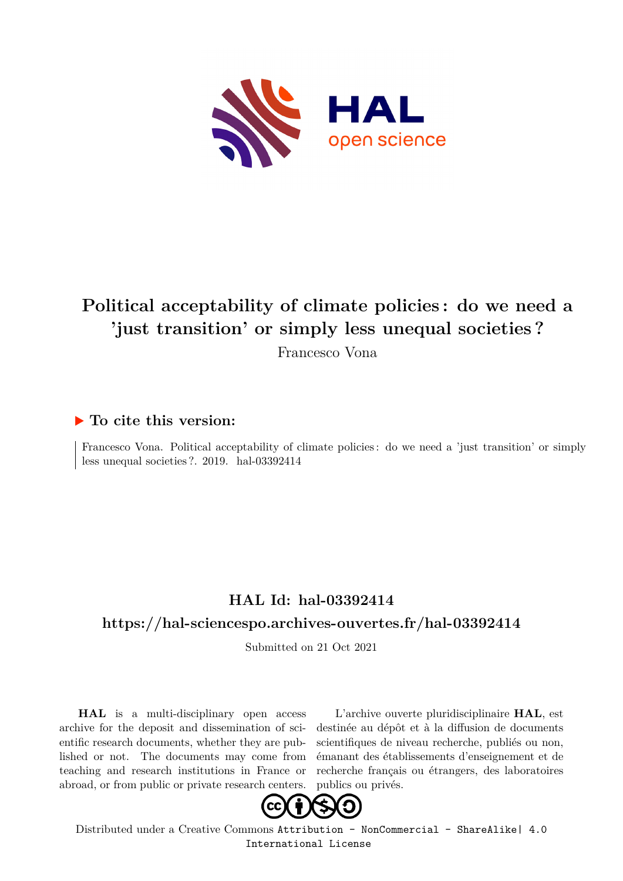

# **Political acceptability of climate policies : do we need a 'just transition' or simply less unequal societies ?**

Francesco Vona

### **To cite this version:**

Francesco Vona. Political acceptability of climate policies : do we need a 'just transition' or simply less unequal societies  $?$ . 2019. hal-03392414

## **HAL Id: hal-03392414**

#### **<https://hal-sciencespo.archives-ouvertes.fr/hal-03392414>**

Submitted on 21 Oct 2021

**HAL** is a multi-disciplinary open access archive for the deposit and dissemination of scientific research documents, whether they are published or not. The documents may come from teaching and research institutions in France or abroad, or from public or private research centers.

L'archive ouverte pluridisciplinaire **HAL**, est destinée au dépôt et à la diffusion de documents scientifiques de niveau recherche, publiés ou non, émanant des établissements d'enseignement et de recherche français ou étrangers, des laboratoires publics ou privés.



Distributed under a Creative Commons [Attribution - NonCommercial - ShareAlike| 4.0](http://creativecommons.org/licenses/by-nc-sa/4.0/) [International License](http://creativecommons.org/licenses/by-nc-sa/4.0/)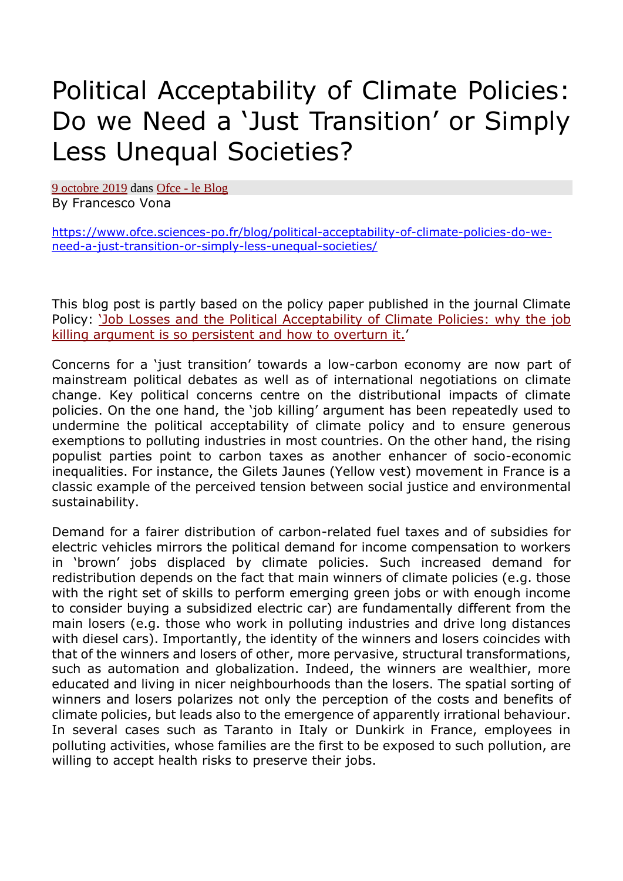# Political Acceptability of Climate Policies: Do we Need a 'Just Transition' or Simply Less Unequal Societies?

9 [octobre](https://www.ofce.sciences-po.fr/blog/political-acceptability-of-climate-policies-do-we-need-a-just-transition-or-simply-less-unequal-societies/) 2019 dans Ofce - le [Blog](https://www.ofce.sciences-po.fr/blog/topics/ofce/) By Francesco Vona

[https://www.ofce.sciences-po.fr/blog/political-acceptability-of-climate-policies-do-we](https://www.ofce.sciences-po.fr/blog/political-acceptability-of-climate-policies-do-we-need-a-just-transition-or-simply-less-unequal-societies/)[need-a-just-transition-or-simply-less-unequal-societies/](https://www.ofce.sciences-po.fr/blog/political-acceptability-of-climate-policies-do-we-need-a-just-transition-or-simply-less-unequal-societies/)

This blog post is partly based on the policy paper published in the journal Climate Policy: 'Job Losses and the Political [Acceptability](https://www.tandfonline.com/doi/abs/10.1080/14693062.2018.1532871) of Climate Policies: why the job killing argument is so [persistent](https://www.tandfonline.com/doi/abs/10.1080/14693062.2018.1532871) and how to overturn it.'

Concerns for a 'just transition' towards a low-carbon economy are now part of mainstream political debates as well as of international negotiations on climate change. Key political concerns centre on the distributional impacts of climate policies. On the one hand, the 'job killing' argument has been repeatedly used to undermine the political acceptability of climate policy and to ensure generous exemptions to polluting industries in most countries. On the other hand, the rising populist parties point to carbon taxes as another enhancer of socio-economic inequalities. For instance, the Gilets Jaunes (Yellow vest) movement in France is a classic example of the perceived tension between social justice and environmental sustainability.

Demand for a fairer distribution of carbon-related fuel taxes and of subsidies for electric vehicles mirrors the political demand for income compensation to workers in 'brown' jobs displaced by climate policies. Such increased demand for redistribution depends on the fact that main winners of climate policies (e.g. those with the right set of skills to perform emerging green jobs or with enough income to consider buying a subsidized electric car) are fundamentally different from the main losers (e.g. those who work in polluting industries and drive long distances with diesel cars). Importantly, the identity of the winners and losers coincides with that of the winners and losers of other, more pervasive, structural transformations, such as automation and globalization. Indeed, the winners are wealthier, more educated and living in nicer neighbourhoods than the losers. The spatial sorting of winners and losers polarizes not only the perception of the costs and benefits of climate policies, but leads also to the emergence of apparently irrational behaviour. In several cases such as Taranto in Italy or Dunkirk in France, employees in polluting activities, whose families are the first to be exposed to such pollution, are willing to accept health risks to preserve their jobs.